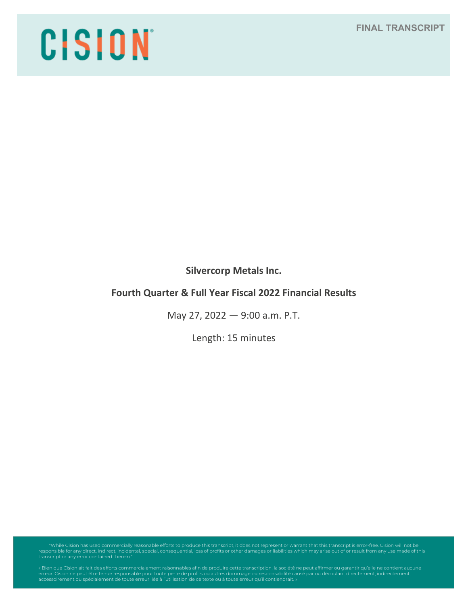# **FINAL TRANSCRIPT**

# CISION

**Silvercorp Metals Inc.**

# **Fourth Quarter & Full Year Fiscal 2022 Financial Results**

May 27, 2022 — 9:00 a.m. P.T.

Length: 15 minutes

"While Cision has used commercially reasonable efforts to produce this transcript, it does not represent or warrant that this transcript is error-free. Cision will not be<br>responsible for any direct, indirect, incidental, s

erreur. Cision ne peut être tenue responsable pour toute perte de profits ou autres dommage ou responsabilité causé par ou découlant directement, indirectement,<br>accessoirement ou spécialement de toute erreur liée à l'utili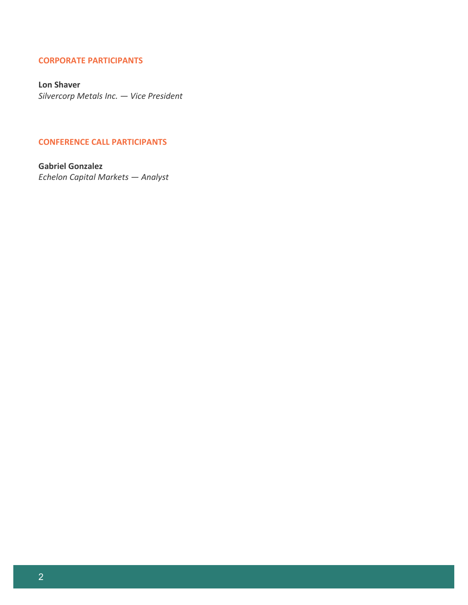## **CORPORATE PARTICIPANTS**

**Lon Shaver** *Silvercorp Metals Inc. — Vice President*

#### **CONFERENCE CALL PARTICIPANTS**

**Gabriel Gonzalez** *Echelon Capital Markets — Analyst*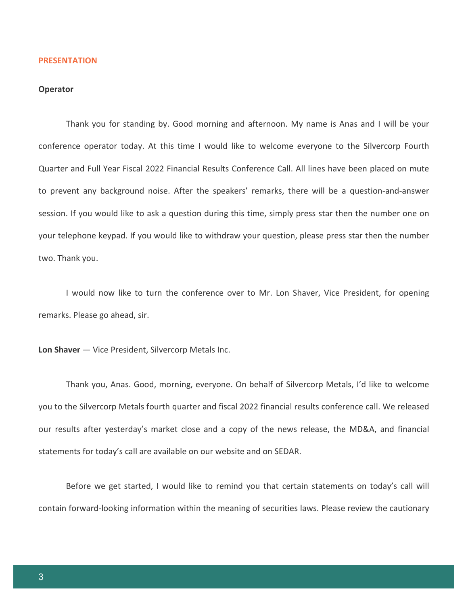#### **PRESENTATION**

## **Operator**

Thank you for standing by. Good morning and afternoon. My name is Anas and I will be your conference operator today. At this time I would like to welcome everyone to the Silvercorp Fourth Quarter and Full Year Fiscal 2022 Financial Results Conference Call. All lines have been placed on mute to prevent any background noise. After the speakers' remarks, there will be a question-and-answer session. If you would like to ask a question during this time, simply press star then the number one on your telephone keypad. If you would like to withdraw your question, please press star then the number two. Thank you.

I would now like to turn the conference over to Mr. Lon Shaver, Vice President, for opening remarks. Please go ahead, sir.

**Lon Shaver** — Vice President, Silvercorp Metals Inc.

Thank you, Anas. Good, morning, everyone. On behalf of Silvercorp Metals, I'd like to welcome you to the Silvercorp Metals fourth quarter and fiscal 2022 financial results conference call. We released our results after yesterday's market close and a copy of the news release, the MD&A, and financial statements for today's call are available on our website and on SEDAR.

Before we get started, I would like to remind you that certain statements on today's call will contain forward-looking information within the meaning of securities laws. Please review the cautionary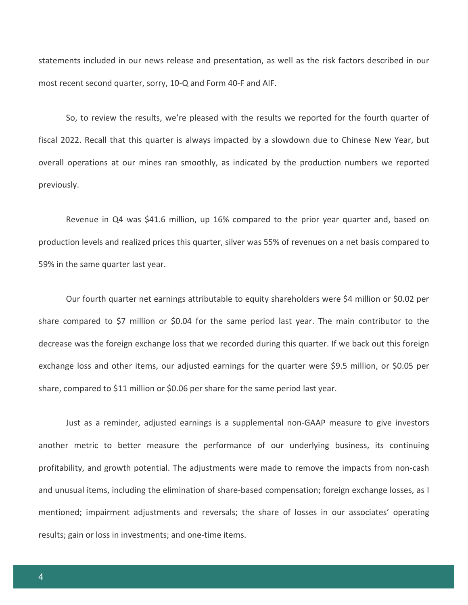statements included in our news release and presentation, as well as the risk factors described in our most recent second quarter, sorry, 10-Q and Form 40-F and AIF.

So, to review the results, we're pleased with the results we reported for the fourth quarter of fiscal 2022. Recall that this quarter is always impacted by a slowdown due to Chinese New Year, but overall operations at our mines ran smoothly, as indicated by the production numbers we reported previously.

Revenue in Q4 was \$41.6 million, up 16% compared to the prior year quarter and, based on production levels and realized prices this quarter, silver was 55% of revenues on a net basis compared to 59% in the same quarter last year.

Our fourth quarter net earnings attributable to equity shareholders were \$4 million or \$0.02 per share compared to \$7 million or \$0.04 for the same period last year. The main contributor to the decrease was the foreign exchange loss that we recorded during this quarter. If we back out this foreign exchange loss and other items, our adjusted earnings for the quarter were \$9.5 million, or \$0.05 per share, compared to \$11 million or \$0.06 per share for the same period last year.

Just as a reminder, adjusted earnings is a supplemental non-GAAP measure to give investors another metric to better measure the performance of our underlying business, its continuing profitability, and growth potential. The adjustments were made to remove the impacts from non-cash and unusual items, including the elimination of share-based compensation; foreign exchange losses, as I mentioned; impairment adjustments and reversals; the share of losses in our associates' operating results; gain or loss in investments; and one-time items.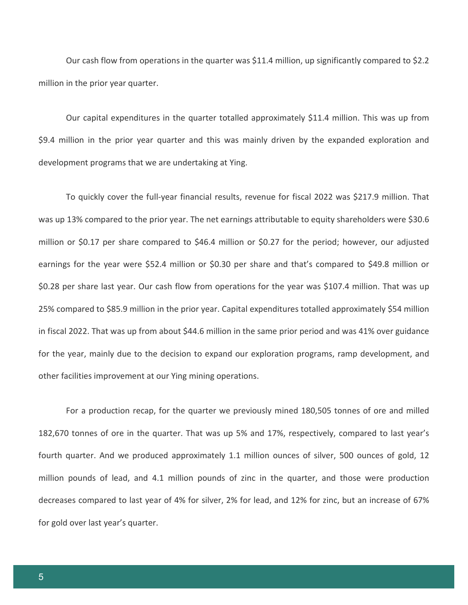Our cash flow from operations in the quarter was \$11.4 million, up significantly compared to \$2.2 million in the prior year quarter.

Our capital expenditures in the quarter totalled approximately \$11.4 million. This was up from \$9.4 million in the prior year quarter and this was mainly driven by the expanded exploration and development programs that we are undertaking at Ying.

To quickly cover the full-year financial results, revenue for fiscal 2022 was \$217.9 million. That was up 13% compared to the prior year. The net earnings attributable to equity shareholders were \$30.6 million or \$0.17 per share compared to \$46.4 million or \$0.27 for the period; however, our adjusted earnings for the year were \$52.4 million or \$0.30 per share and that's compared to \$49.8 million or \$0.28 per share last year. Our cash flow from operations for the year was \$107.4 million. That was up 25% compared to \$85.9 million in the prior year. Capital expenditures totalled approximately \$54 million in fiscal 2022. That was up from about \$44.6 million in the same prior period and was 41% over guidance for the year, mainly due to the decision to expand our exploration programs, ramp development, and other facilities improvement at our Ying mining operations.

For a production recap, for the quarter we previously mined 180,505 tonnes of ore and milled 182,670 tonnes of ore in the quarter. That was up 5% and 17%, respectively, compared to last year's fourth quarter. And we produced approximately 1.1 million ounces of silver, 500 ounces of gold, 12 million pounds of lead, and 4.1 million pounds of zinc in the quarter, and those were production decreases compared to last year of 4% for silver, 2% for lead, and 12% for zinc, but an increase of 67% for gold over last year's quarter.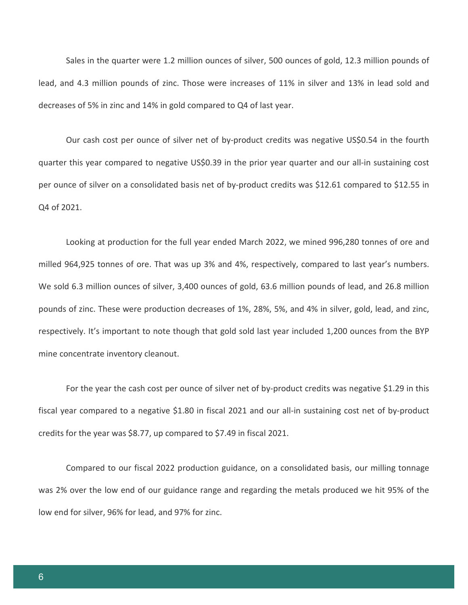Sales in the quarter were 1.2 million ounces of silver, 500 ounces of gold, 12.3 million pounds of lead, and 4.3 million pounds of zinc. Those were increases of 11% in silver and 13% in lead sold and decreases of 5% in zinc and 14% in gold compared to Q4 of last year.

Our cash cost per ounce of silver net of by-product credits was negative US\$0.54 in the fourth quarter this year compared to negative US\$0.39 in the prior year quarter and our all-in sustaining cost per ounce of silver on a consolidated basis net of by-product credits was \$12.61 compared to \$12.55 in Q4 of 2021.

Looking at production for the full year ended March 2022, we mined 996,280 tonnes of ore and milled 964,925 tonnes of ore. That was up 3% and 4%, respectively, compared to last year's numbers. We sold 6.3 million ounces of silver, 3,400 ounces of gold, 63.6 million pounds of lead, and 26.8 million pounds of zinc. These were production decreases of 1%, 28%, 5%, and 4% in silver, gold, lead, and zinc, respectively. It's important to note though that gold sold last year included 1,200 ounces from the BYP mine concentrate inventory cleanout.

For the year the cash cost per ounce of silver net of by-product credits was negative \$1.29 in this fiscal year compared to a negative \$1.80 in fiscal 2021 and our all-in sustaining cost net of by-product credits for the year was \$8.77, up compared to \$7.49 in fiscal 2021.

Compared to our fiscal 2022 production guidance, on a consolidated basis, our milling tonnage was 2% over the low end of our guidance range and regarding the metals produced we hit 95% of the low end for silver, 96% for lead, and 97% for zinc.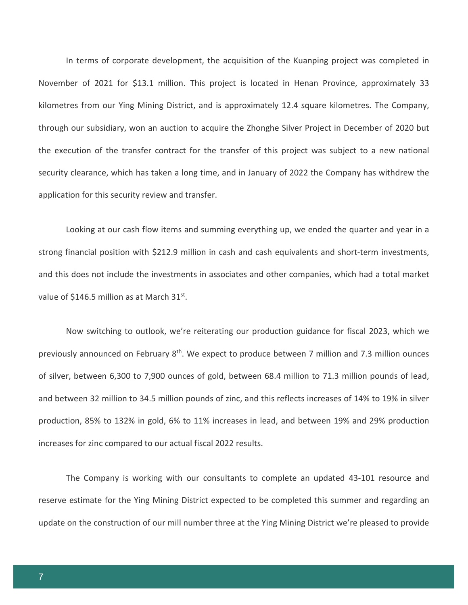In terms of corporate development, the acquisition of the Kuanping project was completed in November of 2021 for \$13.1 million. This project is located in Henan Province, approximately 33 kilometres from our Ying Mining District, and is approximately 12.4 square kilometres. The Company, through our subsidiary, won an auction to acquire the Zhonghe Silver Project in December of 2020 but the execution of the transfer contract for the transfer of this project was subject to a new national security clearance, which has taken a long time, and in January of 2022 the Company has withdrew the application for this security review and transfer.

Looking at our cash flow items and summing everything up, we ended the quarter and year in a strong financial position with \$212.9 million in cash and cash equivalents and short-term investments, and this does not include the investments in associates and other companies, which had a total market value of \$146.5 million as at March 31st.

Now switching to outlook, we're reiterating our production guidance for fiscal 2023, which we previously announced on February 8<sup>th</sup>. We expect to produce between 7 million and 7.3 million ounces of silver, between 6,300 to 7,900 ounces of gold, between 68.4 million to 71.3 million pounds of lead, and between 32 million to 34.5 million pounds of zinc, and this reflects increases of 14% to 19% in silver production, 85% to 132% in gold, 6% to 11% increases in lead, and between 19% and 29% production increases for zinc compared to our actual fiscal 2022 results.

The Company is working with our consultants to complete an updated 43-101 resource and reserve estimate for the Ying Mining District expected to be completed this summer and regarding an update on the construction of our mill number three at the Ying Mining District we're pleased to provide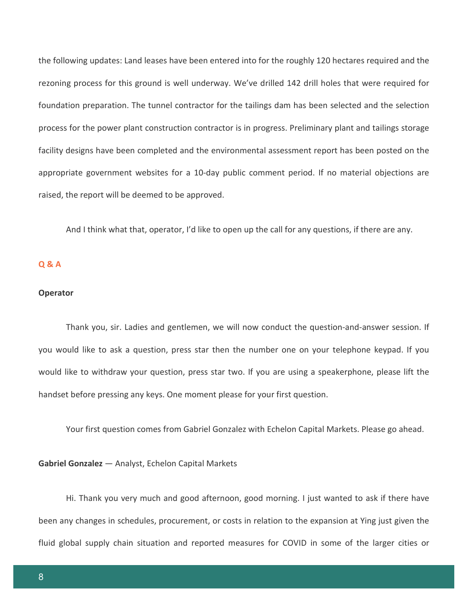the following updates: Land leases have been entered into for the roughly 120 hectares required and the rezoning process for this ground is well underway. We've drilled 142 drill holes that were required for foundation preparation. The tunnel contractor for the tailings dam has been selected and the selection process for the power plant construction contractor is in progress. Preliminary plant and tailings storage facility designs have been completed and the environmental assessment report has been posted on the appropriate government websites for a 10-day public comment period. If no material objections are raised, the report will be deemed to be approved.

And I think what that, operator, I'd like to open up the call for any questions, if there are any.

# **Q & A**

#### **Operator**

Thank you, sir. Ladies and gentlemen, we will now conduct the question-and-answer session. If you would like to ask a question, press star then the number one on your telephone keypad. If you would like to withdraw your question, press star two. If you are using a speakerphone, please lift the handset before pressing any keys. One moment please for your first question.

Your first question comes from Gabriel Gonzalez with Echelon Capital Markets. Please go ahead.

### **Gabriel Gonzalez** — Analyst, Echelon Capital Markets

Hi. Thank you very much and good afternoon, good morning. I just wanted to ask if there have been any changes in schedules, procurement, or costs in relation to the expansion at Ying just given the fluid global supply chain situation and reported measures for COVID in some of the larger cities or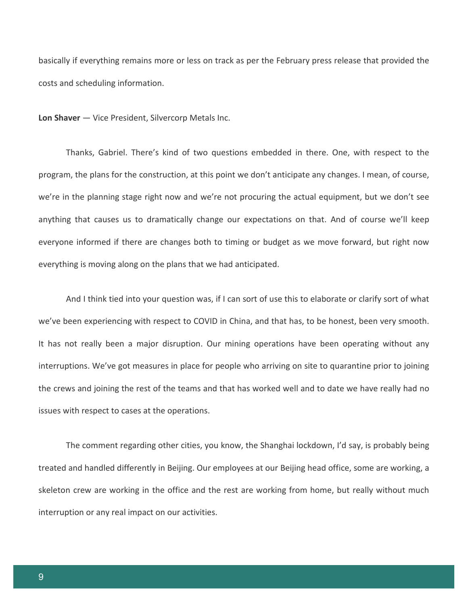basically if everything remains more or less on track as per the February press release that provided the costs and scheduling information.

**Lon Shaver** — Vice President, Silvercorp Metals Inc.

Thanks, Gabriel. There's kind of two questions embedded in there. One, with respect to the program, the plans for the construction, at this point we don't anticipate any changes. I mean, of course, we're in the planning stage right now and we're not procuring the actual equipment, but we don't see anything that causes us to dramatically change our expectations on that. And of course we'll keep everyone informed if there are changes both to timing or budget as we move forward, but right now everything is moving along on the plans that we had anticipated.

And I think tied into your question was, if I can sort of use this to elaborate or clarify sort of what we've been experiencing with respect to COVID in China, and that has, to be honest, been very smooth. It has not really been a major disruption. Our mining operations have been operating without any interruptions. We've got measures in place for people who arriving on site to quarantine prior to joining the crews and joining the rest of the teams and that has worked well and to date we have really had no issues with respect to cases at the operations.

The comment regarding other cities, you know, the Shanghai lockdown, I'd say, is probably being treated and handled differently in Beijing. Our employees at our Beijing head office, some are working, a skeleton crew are working in the office and the rest are working from home, but really without much interruption or any real impact on our activities.